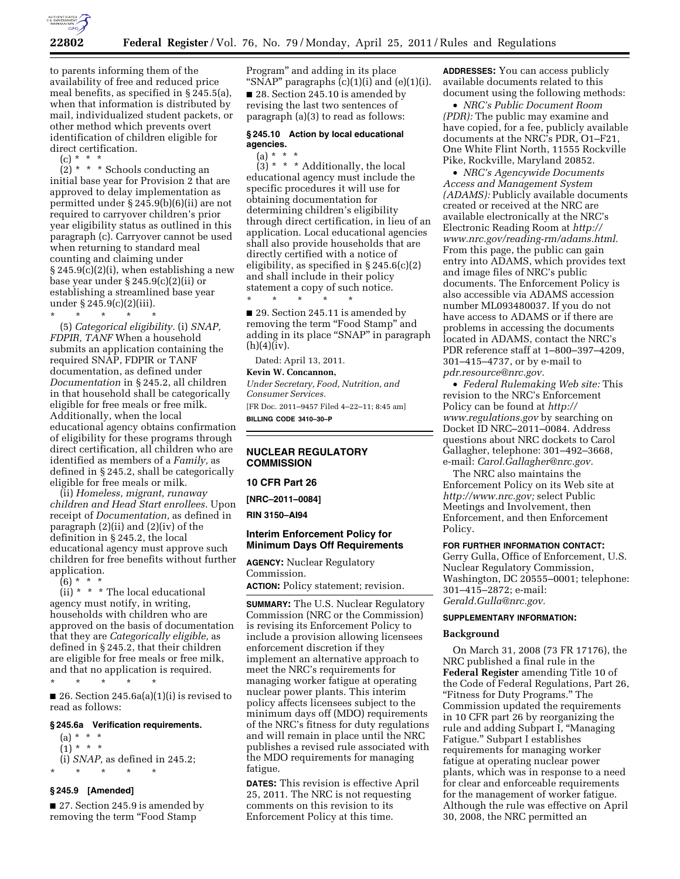

to parents informing them of the availability of free and reduced price meal benefits, as specified in § 245.5(a), when that information is distributed by mail, individualized student packets, or other method which prevents overt identification of children eligible for direct certification.

 $(c) * *$ 

 $(2)$  \* \* \* Schools conducting an initial base year for Provision 2 that are approved to delay implementation as permitted under § 245.9(b)(6)(ii) are not required to carryover children's prior year eligibility status as outlined in this paragraph (c). Carryover cannot be used when returning to standard meal counting and claiming under  $\S 245.9(c)(2)(i)$ , when establishing a new base year under § 245.9(c)(2)(ii) or establishing a streamlined base year under § 245.9(c)(2)(iii).

\* \* \* \* \* (5) *Categorical eligibility.* (i) *SNAP, FDPIR, TANF* When a household submits an application containing the required SNAP, FDPIR or TANF documentation, as defined under *Documentation* in § 245.2, all children in that household shall be categorically eligible for free meals or free milk. Additionally, when the local educational agency obtains confirmation of eligibility for these programs through direct certification, all children who are identified as members of a *Family,* as defined in § 245.2, shall be categorically eligible for free meals or milk.

(ii) *Homeless, migrant, runaway children and Head Start enrollees.* Upon receipt of *Documentation,* as defined in paragraph (2)(ii) and (2)(iv) of the definition in § 245.2, the local educational agency must approve such children for free benefits without further application.

(6) \* \* \*

 $(ii)$  \* \* \* The local educational agency must notify, in writing, households with children who are approved on the basis of documentation that they are *Categorically eligible,* as defined in § 245.2, that their children are eligible for free meals or free milk, and that no application is required.

\* \* \* \* \* ■ 26. Section  $245.6a(a)(1)(i)$  is revised to read as follows:

#### **§ 245.6a Verification requirements.**

(a) \* \* \*  $(1) * * * *$ (i) *SNAP,* as defined in 245.2; \* \* \* \* \*

# **§ 245.9 [Amended]**

■ 27. Section 245.9 is amended by removing the term "Food Stamp

Program'' and adding in its place "SNAP" paragraphs  $(c)(1)(i)$  and  $(e)(1)(i)$ . ■ 28. Section 245.10 is amended by revising the last two sentences of paragraph (a)(3) to read as follows:

# **§ 245.10 Action by local educational agencies.**

(a) \* \*

 $(3)$  \* \* \* Additionally, the local educational agency must include the specific procedures it will use for obtaining documentation for determining children's eligibility through direct certification, in lieu of an application. Local educational agencies shall also provide households that are directly certified with a notice of eligibility, as specified in § 245.6(c)(2) and shall include in their policy statement a copy of such notice. \* \* \* \* \*

■ 29. Section 245.11 is amended by removing the term "Food Stamp" and adding in its place ''SNAP'' in paragraph  $(h)(4)(iv)$ .

Dated: April 13, 2011. **Kevin W. Concannon,** 

*Under Secretary, Food, Nutrition, and Consumer Services.* 

[FR Doc. 2011–9457 Filed 4–22–11; 8:45 am] **BILLING CODE 3410–30–P** 

# **NUCLEAR REGULATORY COMMISSION**

#### **10 CFR Part 26**

**[NRC–2011–0084]** 

**RIN 3150–AI94** 

## **Interim Enforcement Policy for Minimum Days Off Requirements**

**AGENCY:** Nuclear Regulatory Commission. **ACTION:** Policy statement; revision.

**SUMMARY:** The U.S. Nuclear Regulatory Commission (NRC or the Commission) is revising its Enforcement Policy to include a provision allowing licensees enforcement discretion if they implement an alternative approach to meet the NRC's requirements for managing worker fatigue at operating nuclear power plants. This interim policy affects licensees subject to the minimum days off (MDO) requirements of the NRC's fitness for duty regulations and will remain in place until the NRC publishes a revised rule associated with the MDO requirements for managing fatigue.

**DATES:** This revision is effective April 25, 2011. The NRC is not requesting comments on this revision to its Enforcement Policy at this time.

**ADDRESSES:** You can access publicly available documents related to this document using the following methods:

• *NRC's Public Document Room (PDR):* The public may examine and have copied, for a fee, publicly available documents at the NRC's PDR, O1–F21, One White Flint North, 11555 Rockville Pike, Rockville, Maryland 20852.

• *NRC's Agencywide Documents Access and Management System (ADAMS):* Publicly available documents created or received at the NRC are available electronically at the NRC's Electronic Reading Room at *[http://](http://www.nrc.gov/reading-rm/adams.html) [www.nrc.gov/reading-rm/adams.html.](http://www.nrc.gov/reading-rm/adams.html)*  From this page, the public can gain entry into ADAMS, which provides text and image files of NRC's public documents. The Enforcement Policy is also accessible via ADAMS accession number ML093480037. If you do not have access to ADAMS or if there are problems in accessing the documents located in ADAMS, contact the NRC's PDR reference staff at 1–800–397–4209, 301–415–4737, or by e-mail to *[pdr.resource@nrc.gov.](mailto:pdr.resource@nrc.gov)* 

• *Federal Rulemaking Web site:* This revision to the NRC's Enforcement Policy can be found at *[http://](http://www.regulations.gov)  [www.regulations.gov](http://www.regulations.gov)* by searching on Docket ID NRC–2011–0084. Address questions about NRC dockets to Carol Gallagher, telephone: 301–492–3668, e-mail: *[Carol.Gallagher@nrc.gov.](mailto:Carol.Gallagher@nrc.gov)* 

The NRC also maintains the Enforcement Policy on its Web site at *[http://www.nrc.gov;](http://www.nrc.gov)* select Public Meetings and Involvement, then Enforcement, and then Enforcement Policy.

## **FOR FURTHER INFORMATION CONTACT:**

Gerry Gulla, Office of Enforcement, U.S. Nuclear Regulatory Commission, Washington, DC 20555–0001; telephone: 301–415–2872; e-mail: *[Gerald.Gulla@nrc.gov.](mailto:Gerald.Gulla@nrc.gov)* 

#### **SUPPLEMENTARY INFORMATION:**

#### **Background**

On March 31, 2008 (73 FR 17176), the NRC published a final rule in the **Federal Register** amending Title 10 of the Code of Federal Regulations, Part 26, ''Fitness for Duty Programs.'' The Commission updated the requirements in 10 CFR part 26 by reorganizing the rule and adding Subpart I, ''Managing Fatigue.'' Subpart I establishes requirements for managing worker fatigue at operating nuclear power plants, which was in response to a need for clear and enforceable requirements for the management of worker fatigue. Although the rule was effective on April 30, 2008, the NRC permitted an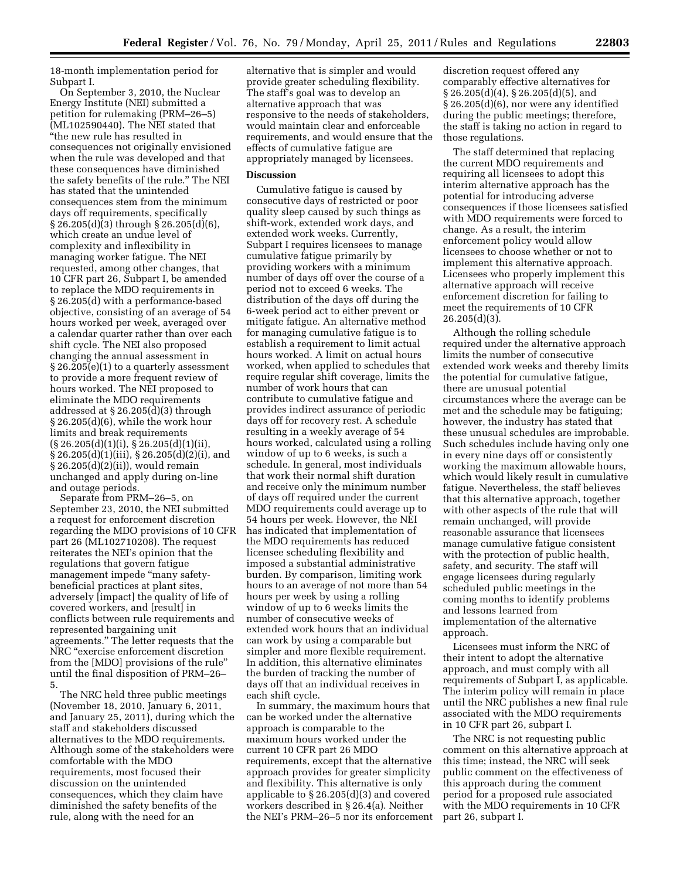18-month implementation period for Subpart I.

On September 3, 2010, the Nuclear Energy Institute (NEI) submitted a petition for rulemaking (PRM–26–5) (ML102590440). The NEI stated that ''the new rule has resulted in consequences not originally envisioned when the rule was developed and that these consequences have diminished the safety benefits of the rule.'' The NEI has stated that the unintended consequences stem from the minimum days off requirements, specifically § 26.205(d)(3) through § 26.205(d)(6), which create an undue level of complexity and inflexibility in managing worker fatigue. The NEI requested, among other changes, that 10 CFR part 26, Subpart I, be amended to replace the MDO requirements in § 26.205(d) with a performance-based objective, consisting of an average of 54 hours worked per week, averaged over a calendar quarter rather than over each shift cycle. The NEI also proposed changing the annual assessment in § 26.205(e)(1) to a quarterly assessment to provide a more frequent review of hours worked. The NEI proposed to eliminate the MDO requirements addressed at § 26.205(d)(3) through § 26.205(d)(6), while the work hour limits and break requirements (§ 26.205(d)(1)(i), § 26.205(d)(1)(ii), § 26.205(d)(1)(iii), § 26.205(d)(2)(i), and § 26.205(d)(2)(ii)), would remain unchanged and apply during on-line and outage periods.

Separate from PRM–26–5, on September 23, 2010, the NEI submitted a request for enforcement discretion regarding the MDO provisions of 10 CFR part 26 (ML102710208). The request reiterates the NEI's opinion that the regulations that govern fatigue management impede "many safetybeneficial practices at plant sites, adversely [impact] the quality of life of covered workers, and [result] in conflicts between rule requirements and represented bargaining unit agreements.'' The letter requests that the NRC ''exercise enforcement discretion from the [MDO] provisions of the rule'' until the final disposition of PRM–26– 5.

The NRC held three public meetings (November 18, 2010, January 6, 2011, and January 25, 2011), during which the staff and stakeholders discussed alternatives to the MDO requirements. Although some of the stakeholders were comfortable with the MDO requirements, most focused their discussion on the unintended consequences, which they claim have diminished the safety benefits of the rule, along with the need for an

alternative that is simpler and would provide greater scheduling flexibility. The staff's goal was to develop an alternative approach that was responsive to the needs of stakeholders, would maintain clear and enforceable requirements, and would ensure that the effects of cumulative fatigue are appropriately managed by licensees.

# **Discussion**

Cumulative fatigue is caused by consecutive days of restricted or poor quality sleep caused by such things as shift-work, extended work days, and extended work weeks. Currently, Subpart I requires licensees to manage cumulative fatigue primarily by providing workers with a minimum number of days off over the course of a period not to exceed 6 weeks. The distribution of the days off during the 6-week period act to either prevent or mitigate fatigue. An alternative method for managing cumulative fatigue is to establish a requirement to limit actual hours worked. A limit on actual hours worked, when applied to schedules that require regular shift coverage, limits the number of work hours that can contribute to cumulative fatigue and provides indirect assurance of periodic days off for recovery rest. A schedule resulting in a weekly average of 54 hours worked, calculated using a rolling window of up to 6 weeks, is such a schedule. In general, most individuals that work their normal shift duration and receive only the minimum number of days off required under the current MDO requirements could average up to 54 hours per week. However, the NEI has indicated that implementation of the MDO requirements has reduced licensee scheduling flexibility and imposed a substantial administrative burden. By comparison, limiting work hours to an average of not more than 54 hours per week by using a rolling window of up to 6 weeks limits the number of consecutive weeks of extended work hours that an individual can work by using a comparable but simpler and more flexible requirement. In addition, this alternative eliminates the burden of tracking the number of days off that an individual receives in each shift cycle.

In summary, the maximum hours that can be worked under the alternative approach is comparable to the maximum hours worked under the current 10 CFR part 26 MDO requirements, except that the alternative approach provides for greater simplicity and flexibility. This alternative is only applicable to § 26.205(d)(3) and covered workers described in § 26.4(a). Neither the NEI's PRM–26–5 nor its enforcement

discretion request offered any comparably effective alternatives for § 26.205(d)(4), § 26.205(d)(5), and § 26.205(d)(6), nor were any identified during the public meetings; therefore, the staff is taking no action in regard to those regulations.

The staff determined that replacing the current MDO requirements and requiring all licensees to adopt this interim alternative approach has the potential for introducing adverse consequences if those licensees satisfied with MDO requirements were forced to change. As a result, the interim enforcement policy would allow licensees to choose whether or not to implement this alternative approach. Licensees who properly implement this alternative approach will receive enforcement discretion for failing to meet the requirements of 10 CFR 26.205(d)(3).

Although the rolling schedule required under the alternative approach limits the number of consecutive extended work weeks and thereby limits the potential for cumulative fatigue, there are unusual potential circumstances where the average can be met and the schedule may be fatiguing; however, the industry has stated that these unusual schedules are improbable. Such schedules include having only one in every nine days off or consistently working the maximum allowable hours, which would likely result in cumulative fatigue. Nevertheless, the staff believes that this alternative approach, together with other aspects of the rule that will remain unchanged, will provide reasonable assurance that licensees manage cumulative fatigue consistent with the protection of public health, safety, and security. The staff will engage licensees during regularly scheduled public meetings in the coming months to identify problems and lessons learned from implementation of the alternative approach.

Licensees must inform the NRC of their intent to adopt the alternative approach, and must comply with all requirements of Subpart I, as applicable. The interim policy will remain in place until the NRC publishes a new final rule associated with the MDO requirements in 10 CFR part 26, subpart I.

The NRC is not requesting public comment on this alternative approach at this time; instead, the NRC will seek public comment on the effectiveness of this approach during the comment period for a proposed rule associated with the MDO requirements in 10 CFR part 26, subpart I.